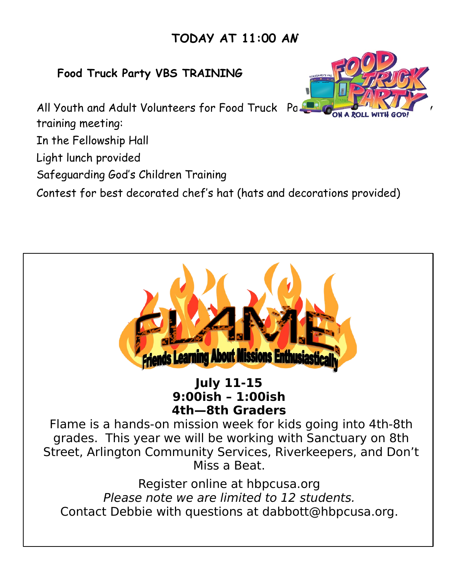## **TODAY AT 11:00 AM**

## **Food Truck Party VBS TRAINING**

All Youth and Adult Volunteers for Food Truck Pa $\blacktriangle$ training meeting:

In the Fellowship Hall

Light lunch provided

Safeguarding God's Children Training

Contest for best decorated chef's hat (hats and decorations provided)





**July 11-15 9:00ish – 1:00ish 4th—8th Graders** 

Flame is a hands-on mission week for kids going into 4th-8th grades. This year we will be working with Sanctuary on 8th Street, Arlington Community Services, Riverkeepers, and Don't Miss a Beat.

Register online at hbpcusa.org Please note we are limited to 12 students. Contact Debbie with questions at dabbott@hbpcusa.org.